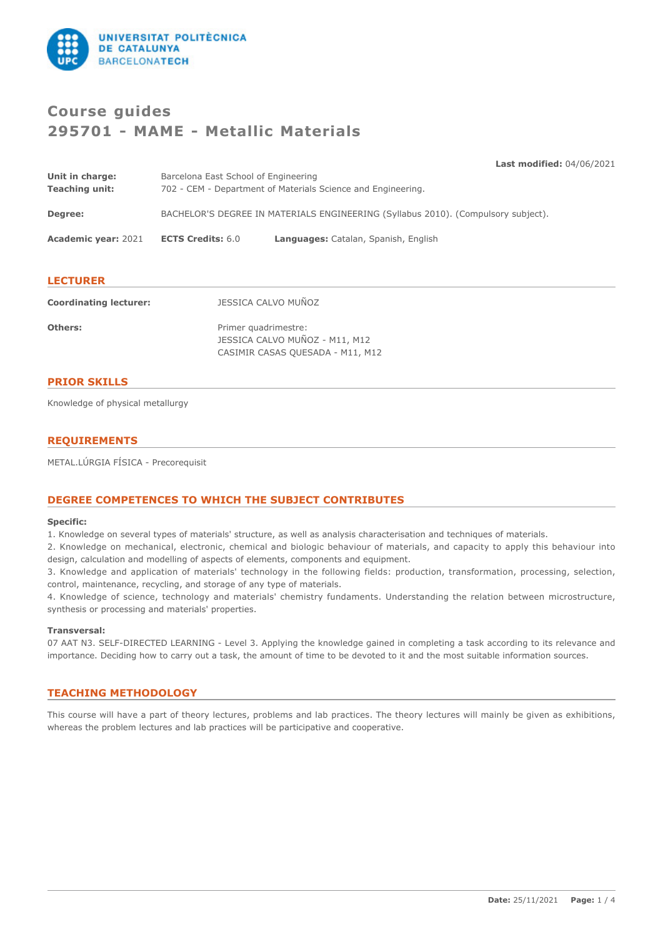

# **Course guides 295701 - MAME - Metallic Materials**

**Last modified:** 04/06/2021 **Unit in charge:** Barcelona East School of Engineering **Teaching unit:** 702 - CEM - Department of Materials Science and Engineering. **Degree:** BACHELOR'S DEGREE IN MATERIALS ENGINEERING (Syllabus 2010). (Compulsory subject). **Academic year:** 2021 **ECTS Credits:** 6.0 **Languages:** Catalan, Spanish, English

# **LECTURER**

| <b>Coordinating lecturer:</b> | JESSICA CALVO MUÑOZ                                                                        |
|-------------------------------|--------------------------------------------------------------------------------------------|
| Others:                       | Primer quadrimestre:<br>JESSICA CALVO MUÑOZ - M11, M12<br>CASIMIR CASAS QUESADA - M11, M12 |

# **PRIOR SKILLS**

Knowledge of physical metallurgy

# **REQUIREMENTS**

METAL.LÚRGIA FÍSICA - Precorequisit

# **DEGREE COMPETENCES TO WHICH THE SUBJECT CONTRIBUTES**

#### **Specific:**

1. Knowledge on several types of materials' structure, as well as analysis characterisation and techniques of materials.

2. Knowledge on mechanical, electronic, chemical and biologic behaviour of materials, and capacity to apply this behaviour into design, calculation and modelling of aspects of elements, components and equipment.

3. Knowledge and application of materials' technology in the following fields: production, transformation, processing, selection, control, maintenance, recycling, and storage of any type of materials.

4. Knowledge of science, technology and materials' chemistry fundaments. Understanding the relation between microstructure, synthesis or processing and materials' properties.

#### **Transversal:**

07 AAT N3. SELF-DIRECTED LEARNING - Level 3. Applying the knowledge gained in completing a task according to its relevance and importance. Deciding how to carry out a task, the amount of time to be devoted to it and the most suitable information sources.

# **TEACHING METHODOLOGY**

This course will have a part of theory lectures, problems and lab practices. The theory lectures will mainly be given as exhibitions, whereas the problem lectures and lab practices will be participative and cooperative.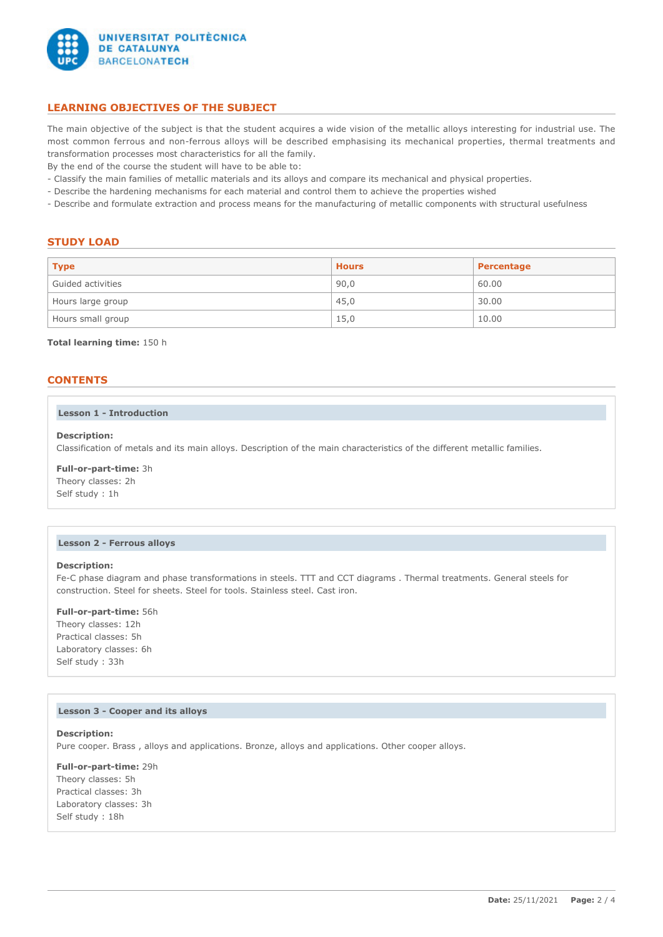

# **LEARNING OBJECTIVES OF THE SUBJECT**

The main objective of the subject is that the student acquires a wide vision of the metallic alloys interesting for industrial use. The most common ferrous and non-ferrous alloys will be described emphasising its mechanical properties, thermal treatments and transformation processes most characteristics for all the family.

By the end of the course the student will have to be able to:

- Classify the main families of metallic materials and its alloys and compare its mechanical and physical properties.
- Describe the hardening mechanisms for each material and control them to achieve the properties wished
- Describe and formulate extraction and process means for the manufacturing of metallic components with structural usefulness

## **STUDY LOAD**

| <b>Type</b>       | <b>Hours</b> | Percentage |
|-------------------|--------------|------------|
| Guided activities | 90,0         | 60.00      |
| Hours large group | 45,0         | 30.00      |
| Hours small group | 15,0         | 10.00      |

#### **Total learning time:** 150 h

# **CONTENTS**

### **Lesson 1 - Introduction**

### **Description:**

Classification of metals and its main alloys. Description of the main characteristics of the different metallic families.

### **Full-or-part-time:** 3h

Theory classes: 2h Self study : 1h

#### **Lesson 2 - Ferrous alloys**

# **Description:**

Fe-C phase diagram and phase transformations in steels. TTT and CCT diagrams . Thermal treatments. General steels for construction. Steel for sheets. Steel for tools. Stainless steel. Cast iron.

#### **Full-or-part-time:** 56h

Theory classes: 12h Practical classes: 5h Laboratory classes: 6h Self study : 33h

#### **Lesson 3 - Cooper and its alloys**

**Description:** Pure cooper. Brass , alloys and applications. Bronze, alloys and applications. Other cooper alloys.

**Full-or-part-time:** 29h Theory classes: 5h Practical classes: 3h Laboratory classes: 3h Self study : 18h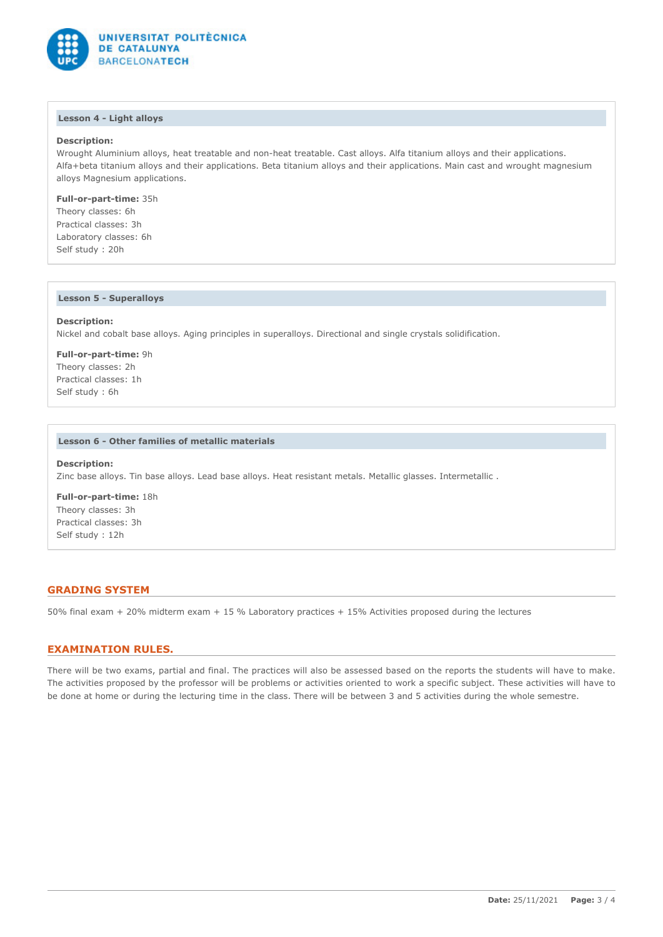

### **Lesson 4 - Light alloys**

# **Description:**

Wrought Aluminium alloys, heat treatable and non-heat treatable. Cast alloys. Alfa titanium alloys and their applications. Alfa+beta titanium alloys and their applications. Beta titanium alloys and their applications. Main cast and wrought magnesium alloys Magnesium applications.

**Full-or-part-time:** 35h

Theory classes: 6h Practical classes: 3h Laboratory classes: 6h Self study : 20h

#### **Lesson 5 - Superalloys**

# **Description:**

Nickel and cobalt base alloys. Aging principles in superalloys. Directional and single crystals solidification.

**Full-or-part-time:** 9h Theory classes: 2h Practical classes: 1h Self study : 6h

#### **Lesson 6 - Other families of metallic materials**

#### **Description:**

Zinc base alloys. Tin base alloys. Lead base alloys. Heat resistant metals. Metallic glasses. Intermetallic .

**Full-or-part-time:** 18h Theory classes: 3h Practical classes: 3h Self study : 12h

# **GRADING SYSTEM**

50% final exam + 20% midterm exam + 15 % Laboratory practices + 15% Activities proposed during the lectures

# **EXAMINATION RULES.**

There will be two exams, partial and final. The practices will also be assessed based on the reports the students will have to make. The activities proposed by the professor will be problems or activities oriented to work a specific subject. These activities will have to be done at home or during the lecturing time in the class. There will be between 3 and 5 activities during the whole semestre.